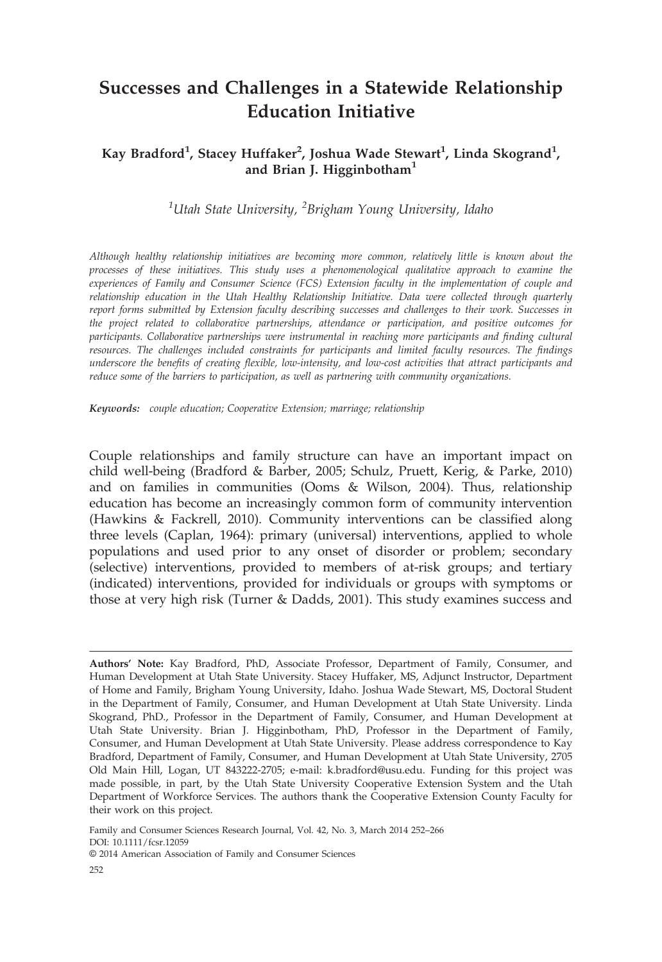# Successes and Challenges in a Statewide Relationship Education Initiative

## Kay Bradford<sup>1</sup>, Stacey Huffaker<sup>2</sup>, Joshua Wade Stewart<sup>1</sup>, Linda Skogrand<sup>1</sup>, and Brian J. Higginbotham<sup>1</sup>

 $^1$ Utah State University,  $^2$ Brigham Young University, Idaho

Although healthy relationship initiatives are becoming more common, relatively little is known about the processes of these initiatives. This study uses a phenomenological qualitative approach to examine the experiences of Family and Consumer Science (FCS) Extension faculty in the implementation of couple and relationship education in the Utah Healthy Relationship Initiative. Data were collected through quarterly report forms submitted by Extension faculty describing successes and challenges to their work. Successes in the project related to collaborative partnerships, attendance or participation, and positive outcomes for participants. Collaborative partnerships were instrumental in reaching more participants and finding cultural resources. The challenges included constraints for participants and limited faculty resources. The findings underscore the benefits of creating flexible, low-intensity, and low-cost activities that attract participants and reduce some of the barriers to participation, as well as partnering with community organizations.

Keywords: couple education; Cooperative Extension; marriage; relationship

Couple relationships and family structure can have an important impact on child well-being (Bradford & Barber, 2005; Schulz, Pruett, Kerig, & Parke, 2010) and on families in communities (Ooms & Wilson, 2004). Thus, relationship education has become an increasingly common form of community intervention (Hawkins & Fackrell, 2010). Community interventions can be classified along three levels (Caplan, 1964): primary (universal) interventions, applied to whole populations and used prior to any onset of disorder or problem; secondary (selective) interventions, provided to members of at-risk groups; and tertiary (indicated) interventions, provided for individuals or groups with symptoms or those at very high risk (Turner & Dadds, 2001). This study examines success and

Family and Consumer Sciences Research Journal, Vol. 42, No. 3, March 2014 252–266 DOI: 10.1111/fcsr.12059

© 2014 American Association of Family and Consumer Sciences

Authors' Note: Kay Bradford, PhD, Associate Professor, Department of Family, Consumer, and Human Development at Utah State University. Stacey Huffaker, MS, Adjunct Instructor, Department of Home and Family, Brigham Young University, Idaho. Joshua Wade Stewart, MS, Doctoral Student in the Department of Family, Consumer, and Human Development at Utah State University. Linda Skogrand, PhD., Professor in the Department of Family, Consumer, and Human Development at Utah State University. Brian J. Higginbotham, PhD, Professor in the Department of Family, Consumer, and Human Development at Utah State University. Please address correspondence to Kay Bradford, Department of Family, Consumer, and Human Development at Utah State University, 2705 Old Main Hill, Logan, UT 843222-2705; e-mail: k.bradford@usu.edu. Funding for this project was made possible, in part, by the Utah State University Cooperative Extension System and the Utah Department of Workforce Services. The authors thank the Cooperative Extension County Faculty for their work on this project.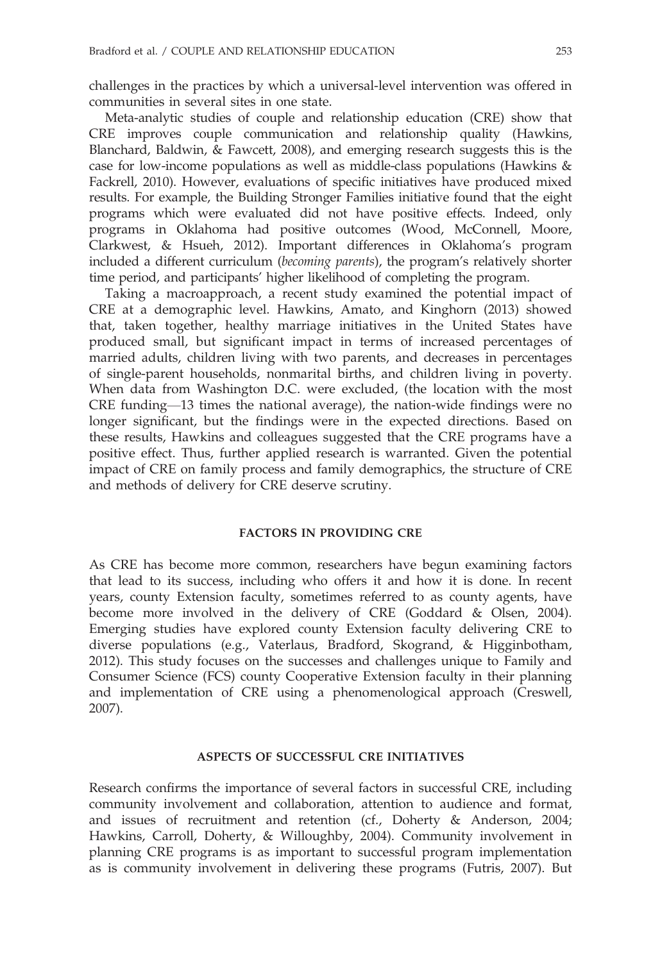challenges in the practices by which a universal-level intervention was offered in communities in several sites in one state.

Meta-analytic studies of couple and relationship education (CRE) show that CRE improves couple communication and relationship quality (Hawkins, Blanchard, Baldwin, & Fawcett, 2008), and emerging research suggests this is the case for low-income populations as well as middle-class populations (Hawkins & Fackrell, 2010). However, evaluations of specific initiatives have produced mixed results. For example, the Building Stronger Families initiative found that the eight programs which were evaluated did not have positive effects. Indeed, only programs in Oklahoma had positive outcomes (Wood, McConnell, Moore, Clarkwest, & Hsueh, 2012). Important differences in Oklahoma's program included a different curriculum (becoming parents), the program's relatively shorter time period, and participants' higher likelihood of completing the program.

Taking a macroapproach, a recent study examined the potential impact of CRE at a demographic level. Hawkins, Amato, and Kinghorn (2013) showed that, taken together, healthy marriage initiatives in the United States have produced small, but significant impact in terms of increased percentages of married adults, children living with two parents, and decreases in percentages of single-parent households, nonmarital births, and children living in poverty. When data from Washington D.C. were excluded, (the location with the most CRE funding—13 times the national average), the nation-wide findings were no longer significant, but the findings were in the expected directions. Based on these results, Hawkins and colleagues suggested that the CRE programs have a positive effect. Thus, further applied research is warranted. Given the potential impact of CRE on family process and family demographics, the structure of CRE and methods of delivery for CRE deserve scrutiny.

## FACTORS IN PROVIDING CRE

As CRE has become more common, researchers have begun examining factors that lead to its success, including who offers it and how it is done. In recent years, county Extension faculty, sometimes referred to as county agents, have become more involved in the delivery of CRE (Goddard & Olsen, 2004). Emerging studies have explored county Extension faculty delivering CRE to diverse populations (e.g., Vaterlaus, Bradford, Skogrand, & Higginbotham, 2012). This study focuses on the successes and challenges unique to Family and Consumer Science (FCS) county Cooperative Extension faculty in their planning and implementation of CRE using a phenomenological approach (Creswell, 2007).

## ASPECTS OF SUCCESSFUL CRE INITIATIVES

Research confirms the importance of several factors in successful CRE, including community involvement and collaboration, attention to audience and format, and issues of recruitment and retention (cf., Doherty & Anderson, 2004; Hawkins, Carroll, Doherty, & Willoughby, 2004). Community involvement in planning CRE programs is as important to successful program implementation as is community involvement in delivering these programs (Futris, 2007). But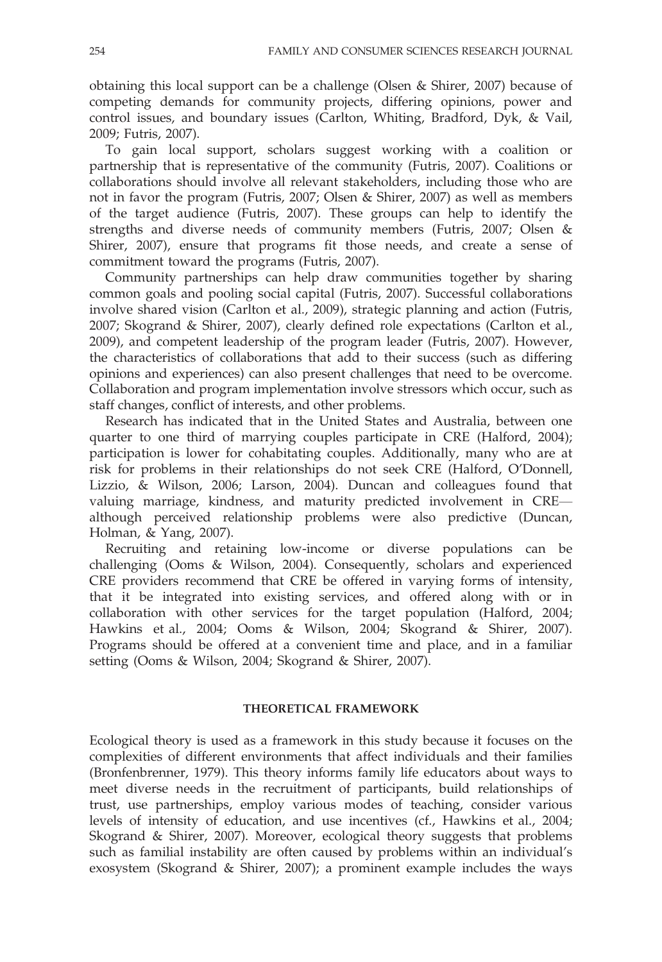obtaining this local support can be a challenge (Olsen & Shirer, 2007) because of competing demands for community projects, differing opinions, power and control issues, and boundary issues (Carlton, Whiting, Bradford, Dyk, & Vail, 2009; Futris, 2007).

To gain local support, scholars suggest working with a coalition or partnership that is representative of the community (Futris, 2007). Coalitions or collaborations should involve all relevant stakeholders, including those who are not in favor the program (Futris, 2007; Olsen & Shirer, 2007) as well as members of the target audience (Futris, 2007). These groups can help to identify the strengths and diverse needs of community members (Futris, 2007; Olsen & Shirer, 2007), ensure that programs fit those needs, and create a sense of commitment toward the programs (Futris, 2007).

Community partnerships can help draw communities together by sharing common goals and pooling social capital (Futris, 2007). Successful collaborations involve shared vision (Carlton et al., 2009), strategic planning and action (Futris, 2007; Skogrand & Shirer, 2007), clearly defined role expectations (Carlton et al., 2009), and competent leadership of the program leader (Futris, 2007). However, the characteristics of collaborations that add to their success (such as differing opinions and experiences) can also present challenges that need to be overcome. Collaboration and program implementation involve stressors which occur, such as staff changes, conflict of interests, and other problems.

Research has indicated that in the United States and Australia, between one quarter to one third of marrying couples participate in CRE (Halford, 2004); participation is lower for cohabitating couples. Additionally, many who are at risk for problems in their relationships do not seek CRE (Halford, O'Donnell, Lizzio, & Wilson, 2006; Larson, 2004). Duncan and colleagues found that valuing marriage, kindness, and maturity predicted involvement in CRE although perceived relationship problems were also predictive (Duncan, Holman, & Yang, 2007).

Recruiting and retaining low-income or diverse populations can be challenging (Ooms & Wilson, 2004). Consequently, scholars and experienced CRE providers recommend that CRE be offered in varying forms of intensity, that it be integrated into existing services, and offered along with or in collaboration with other services for the target population (Halford, 2004; Hawkins et al., 2004; Ooms & Wilson, 2004; Skogrand & Shirer, 2007). Programs should be offered at a convenient time and place, and in a familiar setting (Ooms & Wilson, 2004; Skogrand & Shirer, 2007).

## THEORETICAL FRAMEWORK

Ecological theory is used as a framework in this study because it focuses on the complexities of different environments that affect individuals and their families (Bronfenbrenner, 1979). This theory informs family life educators about ways to meet diverse needs in the recruitment of participants, build relationships of trust, use partnerships, employ various modes of teaching, consider various levels of intensity of education, and use incentives (cf., Hawkins et al., 2004; Skogrand & Shirer, 2007). Moreover, ecological theory suggests that problems such as familial instability are often caused by problems within an individual's exosystem (Skogrand & Shirer, 2007); a prominent example includes the ways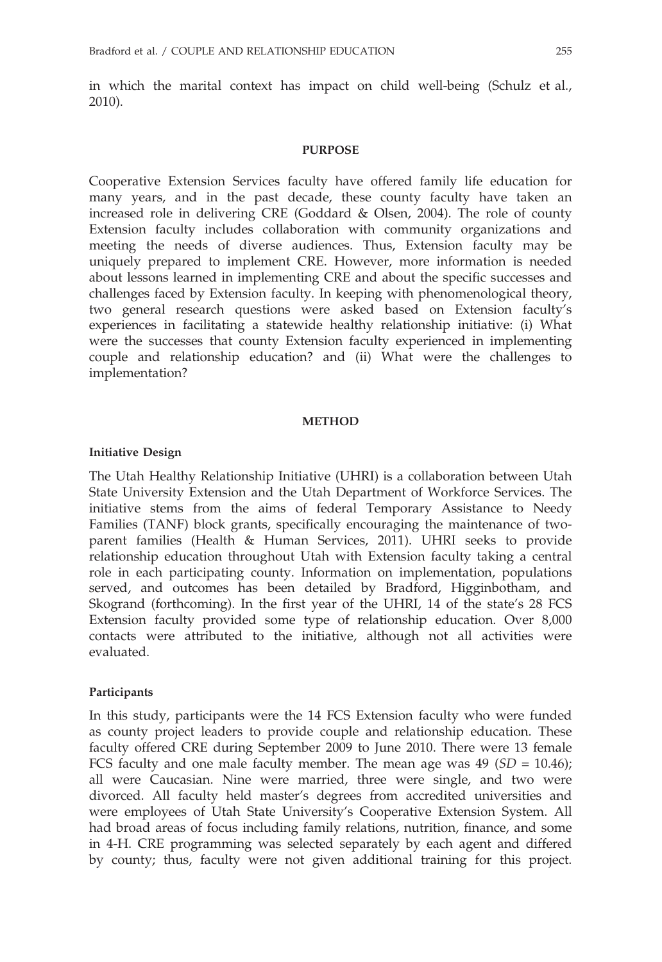in which the marital context has impact on child well-being (Schulz et al., 2010).

## PURPOSE

Cooperative Extension Services faculty have offered family life education for many years, and in the past decade, these county faculty have taken an increased role in delivering CRE (Goddard & Olsen, 2004). The role of county Extension faculty includes collaboration with community organizations and meeting the needs of diverse audiences. Thus, Extension faculty may be uniquely prepared to implement CRE. However, more information is needed about lessons learned in implementing CRE and about the specific successes and challenges faced by Extension faculty. In keeping with phenomenological theory, two general research questions were asked based on Extension faculty's experiences in facilitating a statewide healthy relationship initiative: (i) What were the successes that county Extension faculty experienced in implementing couple and relationship education? and (ii) What were the challenges to implementation?

#### **METHOD**

## Initiative Design

The Utah Healthy Relationship Initiative (UHRI) is a collaboration between Utah State University Extension and the Utah Department of Workforce Services. The initiative stems from the aims of federal Temporary Assistance to Needy Families (TANF) block grants, specifically encouraging the maintenance of twoparent families (Health & Human Services, 2011). UHRI seeks to provide relationship education throughout Utah with Extension faculty taking a central role in each participating county. Information on implementation, populations served, and outcomes has been detailed by Bradford, Higginbotham, and Skogrand (forthcoming). In the first year of the UHRI, 14 of the state's 28 FCS Extension faculty provided some type of relationship education. Over 8,000 contacts were attributed to the initiative, although not all activities were evaluated.

## Participants

In this study, participants were the 14 FCS Extension faculty who were funded as county project leaders to provide couple and relationship education. These faculty offered CRE during September 2009 to June 2010. There were 13 female FCS faculty and one male faculty member. The mean age was  $49$  ( $SD = 10.46$ ); all were Caucasian. Nine were married, three were single, and two were divorced. All faculty held master's degrees from accredited universities and were employees of Utah State University's Cooperative Extension System. All had broad areas of focus including family relations, nutrition, finance, and some in 4-H. CRE programming was selected separately by each agent and differed by county; thus, faculty were not given additional training for this project.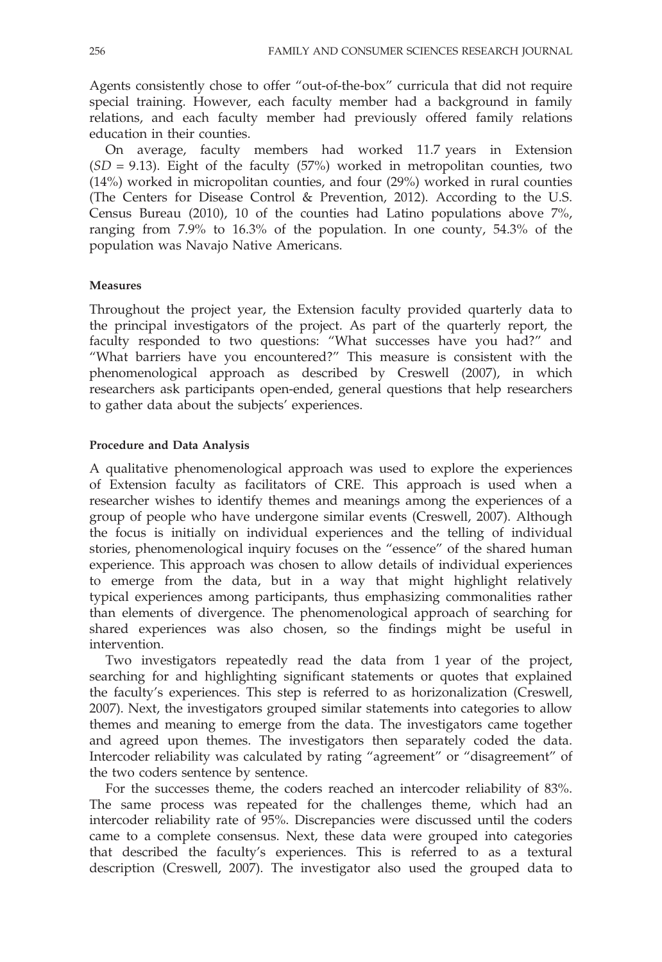Agents consistently chose to offer "out-of-the-box" curricula that did not require special training. However, each faculty member had a background in family relations, and each faculty member had previously offered family relations education in their counties.

On average, faculty members had worked 11.7 years in Extension  $(SD = 9.13)$ . Eight of the faculty  $(57%)$  worked in metropolitan counties, two (14%) worked in micropolitan counties, and four (29%) worked in rural counties (The Centers for Disease Control & Prevention, 2012). According to the U.S. Census Bureau (2010), 10 of the counties had Latino populations above 7%, ranging from 7.9% to 16.3% of the population. In one county, 54.3% of the population was Navajo Native Americans.

## **Measures**

Throughout the project year, the Extension faculty provided quarterly data to the principal investigators of the project. As part of the quarterly report, the faculty responded to two questions: "What successes have you had?" and "What barriers have you encountered?" This measure is consistent with the phenomenological approach as described by Creswell (2007), in which researchers ask participants open-ended, general questions that help researchers to gather data about the subjects' experiences.

## Procedure and Data Analysis

A qualitative phenomenological approach was used to explore the experiences of Extension faculty as facilitators of CRE. This approach is used when a researcher wishes to identify themes and meanings among the experiences of a group of people who have undergone similar events (Creswell, 2007). Although the focus is initially on individual experiences and the telling of individual stories, phenomenological inquiry focuses on the "essence" of the shared human experience. This approach was chosen to allow details of individual experiences to emerge from the data, but in a way that might highlight relatively typical experiences among participants, thus emphasizing commonalities rather than elements of divergence. The phenomenological approach of searching for shared experiences was also chosen, so the findings might be useful in intervention.

Two investigators repeatedly read the data from 1 year of the project, searching for and highlighting significant statements or quotes that explained the faculty's experiences. This step is referred to as horizonalization (Creswell, 2007). Next, the investigators grouped similar statements into categories to allow themes and meaning to emerge from the data. The investigators came together and agreed upon themes. The investigators then separately coded the data. Intercoder reliability was calculated by rating "agreement" or "disagreement" of the two coders sentence by sentence.

For the successes theme, the coders reached an intercoder reliability of 83%. The same process was repeated for the challenges theme, which had an intercoder reliability rate of 95%. Discrepancies were discussed until the coders came to a complete consensus. Next, these data were grouped into categories that described the faculty's experiences. This is referred to as a textural description (Creswell, 2007). The investigator also used the grouped data to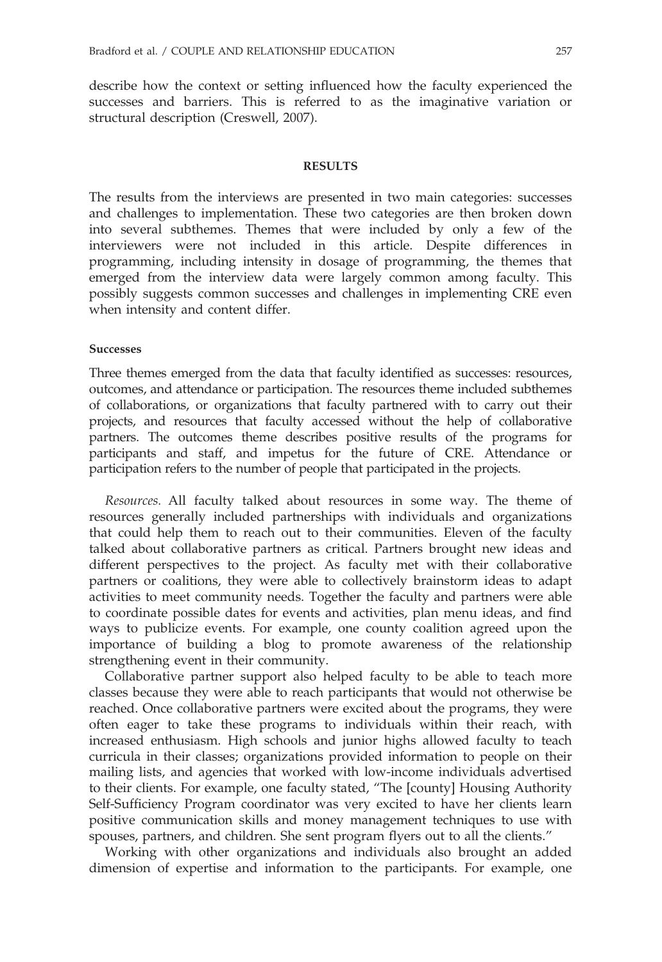describe how the context or setting influenced how the faculty experienced the successes and barriers. This is referred to as the imaginative variation or structural description (Creswell, 2007).

#### RESULTS

The results from the interviews are presented in two main categories: successes and challenges to implementation. These two categories are then broken down into several subthemes. Themes that were included by only a few of the interviewers were not included in this article. Despite differences in programming, including intensity in dosage of programming, the themes that emerged from the interview data were largely common among faculty. This possibly suggests common successes and challenges in implementing CRE even when intensity and content differ.

## **Successes**

Three themes emerged from the data that faculty identified as successes: resources, outcomes, and attendance or participation. The resources theme included subthemes of collaborations, or organizations that faculty partnered with to carry out their projects, and resources that faculty accessed without the help of collaborative partners. The outcomes theme describes positive results of the programs for participants and staff, and impetus for the future of CRE. Attendance or participation refers to the number of people that participated in the projects.

Resources. All faculty talked about resources in some way. The theme of resources generally included partnerships with individuals and organizations that could help them to reach out to their communities. Eleven of the faculty talked about collaborative partners as critical. Partners brought new ideas and different perspectives to the project. As faculty met with their collaborative partners or coalitions, they were able to collectively brainstorm ideas to adapt activities to meet community needs. Together the faculty and partners were able to coordinate possible dates for events and activities, plan menu ideas, and find ways to publicize events. For example, one county coalition agreed upon the importance of building a blog to promote awareness of the relationship strengthening event in their community.

Collaborative partner support also helped faculty to be able to teach more classes because they were able to reach participants that would not otherwise be reached. Once collaborative partners were excited about the programs, they were often eager to take these programs to individuals within their reach, with increased enthusiasm. High schools and junior highs allowed faculty to teach curricula in their classes; organizations provided information to people on their mailing lists, and agencies that worked with low-income individuals advertised to their clients. For example, one faculty stated, "The [county] Housing Authority Self-Sufficiency Program coordinator was very excited to have her clients learn positive communication skills and money management techniques to use with spouses, partners, and children. She sent program flyers out to all the clients."

Working with other organizations and individuals also brought an added dimension of expertise and information to the participants. For example, one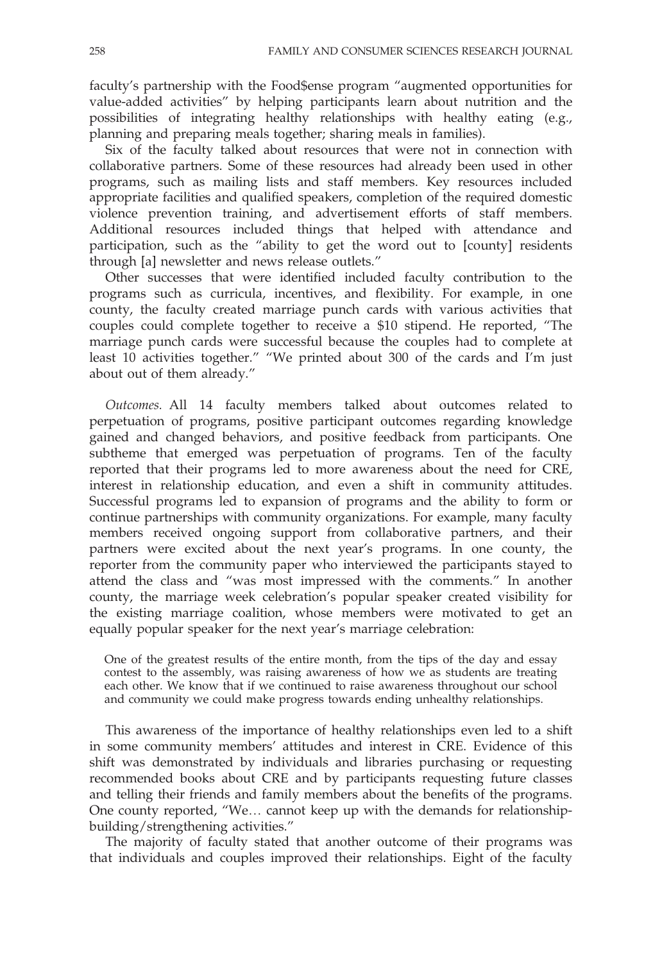faculty's partnership with the Food\$ense program "augmented opportunities for value-added activities" by helping participants learn about nutrition and the possibilities of integrating healthy relationships with healthy eating (e.g., planning and preparing meals together; sharing meals in families).

Six of the faculty talked about resources that were not in connection with collaborative partners. Some of these resources had already been used in other programs, such as mailing lists and staff members. Key resources included appropriate facilities and qualified speakers, completion of the required domestic violence prevention training, and advertisement efforts of staff members. Additional resources included things that helped with attendance and participation, such as the "ability to get the word out to [county] residents through [a] newsletter and news release outlets."

Other successes that were identified included faculty contribution to the programs such as curricula, incentives, and flexibility. For example, in one county, the faculty created marriage punch cards with various activities that couples could complete together to receive a \$10 stipend. He reported, "The marriage punch cards were successful because the couples had to complete at least 10 activities together." "We printed about 300 of the cards and I'm just about out of them already."

Outcomes. All 14 faculty members talked about outcomes related to perpetuation of programs, positive participant outcomes regarding knowledge gained and changed behaviors, and positive feedback from participants. One subtheme that emerged was perpetuation of programs. Ten of the faculty reported that their programs led to more awareness about the need for CRE, interest in relationship education, and even a shift in community attitudes. Successful programs led to expansion of programs and the ability to form or continue partnerships with community organizations. For example, many faculty members received ongoing support from collaborative partners, and their partners were excited about the next year's programs. In one county, the reporter from the community paper who interviewed the participants stayed to attend the class and "was most impressed with the comments." In another county, the marriage week celebration's popular speaker created visibility for the existing marriage coalition, whose members were motivated to get an equally popular speaker for the next year's marriage celebration:

One of the greatest results of the entire month, from the tips of the day and essay contest to the assembly, was raising awareness of how we as students are treating each other. We know that if we continued to raise awareness throughout our school and community we could make progress towards ending unhealthy relationships.

This awareness of the importance of healthy relationships even led to a shift in some community members' attitudes and interest in CRE. Evidence of this shift was demonstrated by individuals and libraries purchasing or requesting recommended books about CRE and by participants requesting future classes and telling their friends and family members about the benefits of the programs. One county reported, "We… cannot keep up with the demands for relationshipbuilding/strengthening activities."

The majority of faculty stated that another outcome of their programs was that individuals and couples improved their relationships. Eight of the faculty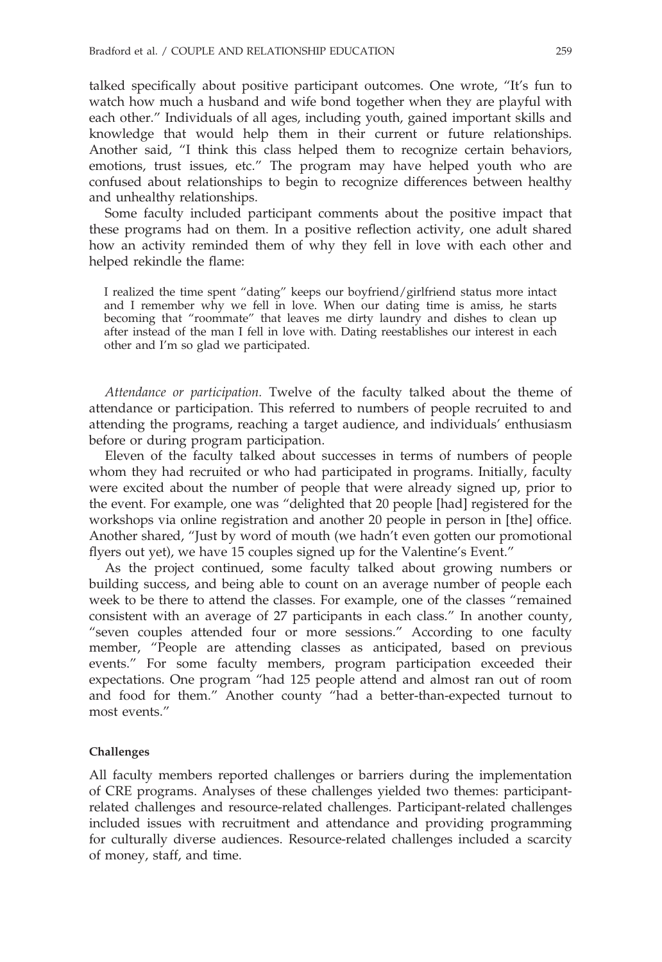talked specifically about positive participant outcomes. One wrote, "It's fun to watch how much a husband and wife bond together when they are playful with each other." Individuals of all ages, including youth, gained important skills and knowledge that would help them in their current or future relationships. Another said, "I think this class helped them to recognize certain behaviors, emotions, trust issues, etc." The program may have helped youth who are confused about relationships to begin to recognize differences between healthy and unhealthy relationships.

Some faculty included participant comments about the positive impact that these programs had on them. In a positive reflection activity, one adult shared how an activity reminded them of why they fell in love with each other and helped rekindle the flame:

I realized the time spent "dating" keeps our boyfriend/girlfriend status more intact and I remember why we fell in love. When our dating time is amiss, he starts becoming that "roommate" that leaves me dirty laundry and dishes to clean up after instead of the man I fell in love with. Dating reestablishes our interest in each other and I'm so glad we participated.

Attendance or participation. Twelve of the faculty talked about the theme of attendance or participation. This referred to numbers of people recruited to and attending the programs, reaching a target audience, and individuals' enthusiasm before or during program participation.

Eleven of the faculty talked about successes in terms of numbers of people whom they had recruited or who had participated in programs. Initially, faculty were excited about the number of people that were already signed up, prior to the event. For example, one was "delighted that 20 people [had] registered for the workshops via online registration and another 20 people in person in [the] office. Another shared, "Just by word of mouth (we hadn't even gotten our promotional flyers out yet), we have 15 couples signed up for the Valentine's Event."

As the project continued, some faculty talked about growing numbers or building success, and being able to count on an average number of people each week to be there to attend the classes. For example, one of the classes "remained consistent with an average of 27 participants in each class." In another county, "seven couples attended four or more sessions." According to one faculty member, "People are attending classes as anticipated, based on previous events." For some faculty members, program participation exceeded their expectations. One program "had 125 people attend and almost ran out of room and food for them." Another county "had a better-than-expected turnout to most events."

## Challenges

All faculty members reported challenges or barriers during the implementation of CRE programs. Analyses of these challenges yielded two themes: participantrelated challenges and resource-related challenges. Participant-related challenges included issues with recruitment and attendance and providing programming for culturally diverse audiences. Resource-related challenges included a scarcity of money, staff, and time.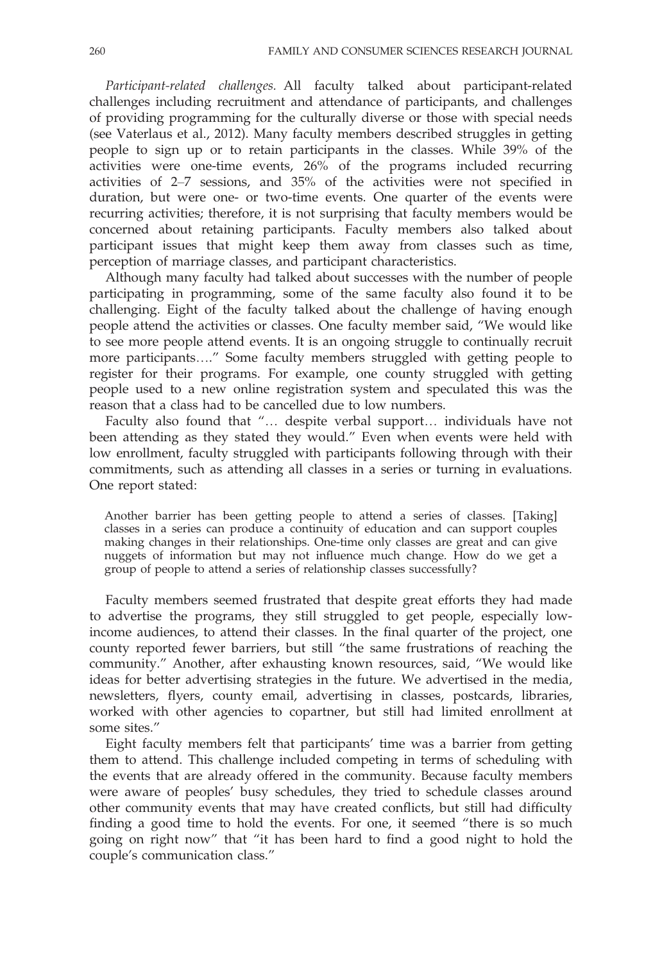Participant-related challenges. All faculty talked about participant-related challenges including recruitment and attendance of participants, and challenges of providing programming for the culturally diverse or those with special needs (see Vaterlaus et al., 2012). Many faculty members described struggles in getting people to sign up or to retain participants in the classes. While 39% of the activities were one-time events, 26% of the programs included recurring activities of 2–7 sessions, and 35% of the activities were not specified in duration, but were one- or two-time events. One quarter of the events were recurring activities; therefore, it is not surprising that faculty members would be concerned about retaining participants. Faculty members also talked about participant issues that might keep them away from classes such as time, perception of marriage classes, and participant characteristics.

Although many faculty had talked about successes with the number of people participating in programming, some of the same faculty also found it to be challenging. Eight of the faculty talked about the challenge of having enough people attend the activities or classes. One faculty member said, "We would like to see more people attend events. It is an ongoing struggle to continually recruit more participants…." Some faculty members struggled with getting people to register for their programs. For example, one county struggled with getting people used to a new online registration system and speculated this was the reason that a class had to be cancelled due to low numbers.

Faculty also found that "… despite verbal support… individuals have not been attending as they stated they would." Even when events were held with low enrollment, faculty struggled with participants following through with their commitments, such as attending all classes in a series or turning in evaluations. One report stated:

Another barrier has been getting people to attend a series of classes. [Taking] classes in a series can produce a continuity of education and can support couples making changes in their relationships. One-time only classes are great and can give nuggets of information but may not influence much change. How do we get a group of people to attend a series of relationship classes successfully?

Faculty members seemed frustrated that despite great efforts they had made to advertise the programs, they still struggled to get people, especially lowincome audiences, to attend their classes. In the final quarter of the project, one county reported fewer barriers, but still "the same frustrations of reaching the community." Another, after exhausting known resources, said, "We would like ideas for better advertising strategies in the future. We advertised in the media, newsletters, flyers, county email, advertising in classes, postcards, libraries, worked with other agencies to copartner, but still had limited enrollment at some sites."

Eight faculty members felt that participants' time was a barrier from getting them to attend. This challenge included competing in terms of scheduling with the events that are already offered in the community. Because faculty members were aware of peoples' busy schedules, they tried to schedule classes around other community events that may have created conflicts, but still had difficulty finding a good time to hold the events. For one, it seemed "there is so much going on right now" that "it has been hard to find a good night to hold the couple's communication class."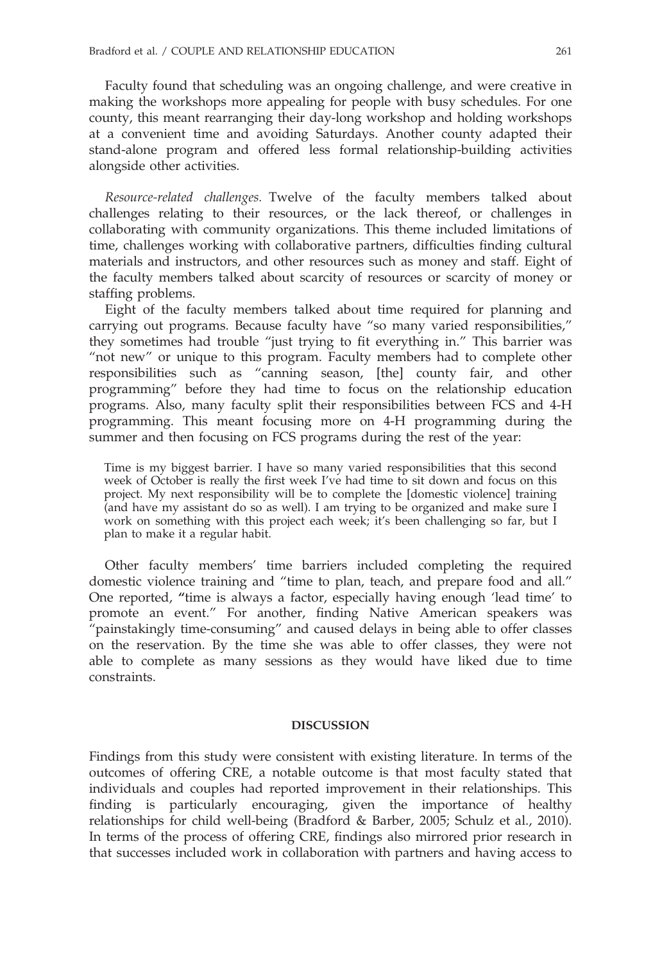Faculty found that scheduling was an ongoing challenge, and were creative in making the workshops more appealing for people with busy schedules. For one county, this meant rearranging their day-long workshop and holding workshops at a convenient time and avoiding Saturdays. Another county adapted their stand-alone program and offered less formal relationship-building activities alongside other activities.

Resource-related challenges. Twelve of the faculty members talked about challenges relating to their resources, or the lack thereof, or challenges in collaborating with community organizations. This theme included limitations of time, challenges working with collaborative partners, difficulties finding cultural materials and instructors, and other resources such as money and staff. Eight of the faculty members talked about scarcity of resources or scarcity of money or staffing problems.

Eight of the faculty members talked about time required for planning and carrying out programs. Because faculty have "so many varied responsibilities," they sometimes had trouble "just trying to fit everything in." This barrier was "not new" or unique to this program. Faculty members had to complete other responsibilities such as "canning season, [the] county fair, and other programming" before they had time to focus on the relationship education programs. Also, many faculty split their responsibilities between FCS and 4-H programming. This meant focusing more on 4-H programming during the summer and then focusing on FCS programs during the rest of the year:

Time is my biggest barrier. I have so many varied responsibilities that this second week of October is really the first week I've had time to sit down and focus on this project. My next responsibility will be to complete the [domestic violence] training (and have my assistant do so as well). I am trying to be organized and make sure I work on something with this project each week; it's been challenging so far, but I plan to make it a regular habit.

Other faculty members' time barriers included completing the required domestic violence training and "time to plan, teach, and prepare food and all." One reported, "time is always a factor, especially having enough 'lead time' to promote an event." For another, finding Native American speakers was "painstakingly time-consuming" and caused delays in being able to offer classes on the reservation. By the time she was able to offer classes, they were not able to complete as many sessions as they would have liked due to time constraints.

#### DISCUSSION

Findings from this study were consistent with existing literature. In terms of the outcomes of offering CRE, a notable outcome is that most faculty stated that individuals and couples had reported improvement in their relationships. This finding is particularly encouraging, given the importance of healthy relationships for child well-being (Bradford & Barber, 2005; Schulz et al., 2010). In terms of the process of offering CRE, findings also mirrored prior research in that successes included work in collaboration with partners and having access to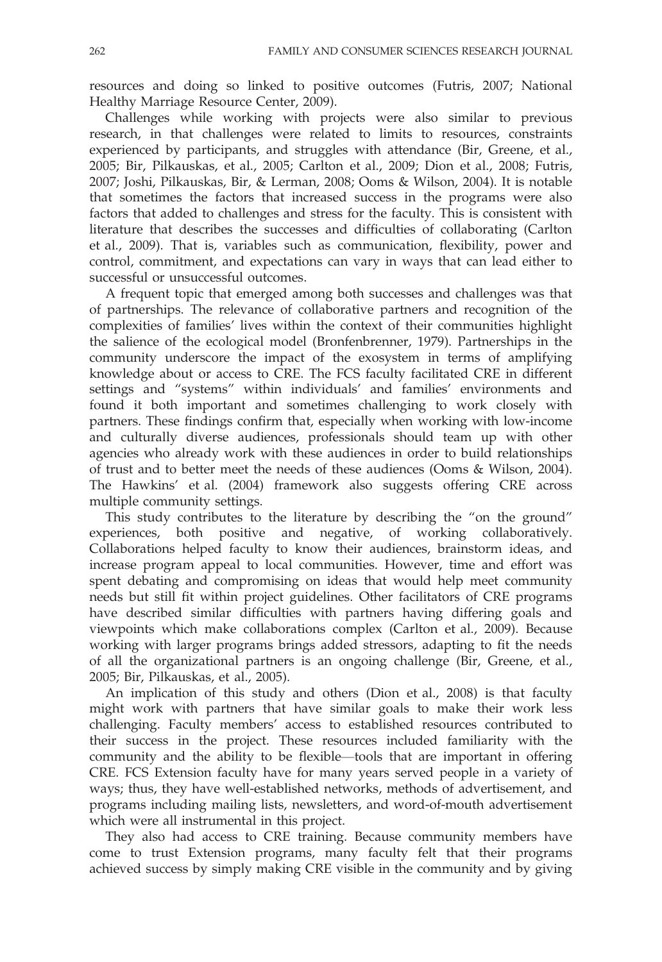resources and doing so linked to positive outcomes (Futris, 2007; National Healthy Marriage Resource Center, 2009).

Challenges while working with projects were also similar to previous research, in that challenges were related to limits to resources, constraints experienced by participants, and struggles with attendance (Bir, Greene, et al., 2005; Bir, Pilkauskas, et al., 2005; Carlton et al., 2009; Dion et al., 2008; Futris, 2007; Joshi, Pilkauskas, Bir, & Lerman, 2008; Ooms & Wilson, 2004). It is notable that sometimes the factors that increased success in the programs were also factors that added to challenges and stress for the faculty. This is consistent with literature that describes the successes and difficulties of collaborating (Carlton et al., 2009). That is, variables such as communication, flexibility, power and control, commitment, and expectations can vary in ways that can lead either to successful or unsuccessful outcomes.

A frequent topic that emerged among both successes and challenges was that of partnerships. The relevance of collaborative partners and recognition of the complexities of families' lives within the context of their communities highlight the salience of the ecological model (Bronfenbrenner, 1979). Partnerships in the community underscore the impact of the exosystem in terms of amplifying knowledge about or access to CRE. The FCS faculty facilitated CRE in different settings and "systems" within individuals' and families' environments and found it both important and sometimes challenging to work closely with partners. These findings confirm that, especially when working with low-income and culturally diverse audiences, professionals should team up with other agencies who already work with these audiences in order to build relationships of trust and to better meet the needs of these audiences (Ooms & Wilson, 2004). The Hawkins' et al. (2004) framework also suggests offering CRE across multiple community settings.

This study contributes to the literature by describing the "on the ground" experiences, both positive and negative, of working collaboratively. Collaborations helped faculty to know their audiences, brainstorm ideas, and increase program appeal to local communities. However, time and effort was spent debating and compromising on ideas that would help meet community needs but still fit within project guidelines. Other facilitators of CRE programs have described similar difficulties with partners having differing goals and viewpoints which make collaborations complex (Carlton et al., 2009). Because working with larger programs brings added stressors, adapting to fit the needs of all the organizational partners is an ongoing challenge (Bir, Greene, et al., 2005; Bir, Pilkauskas, et al., 2005).

An implication of this study and others (Dion et al., 2008) is that faculty might work with partners that have similar goals to make their work less challenging. Faculty members' access to established resources contributed to their success in the project. These resources included familiarity with the community and the ability to be flexible—tools that are important in offering CRE. FCS Extension faculty have for many years served people in a variety of ways; thus, they have well-established networks, methods of advertisement, and programs including mailing lists, newsletters, and word-of-mouth advertisement which were all instrumental in this project.

They also had access to CRE training. Because community members have come to trust Extension programs, many faculty felt that their programs achieved success by simply making CRE visible in the community and by giving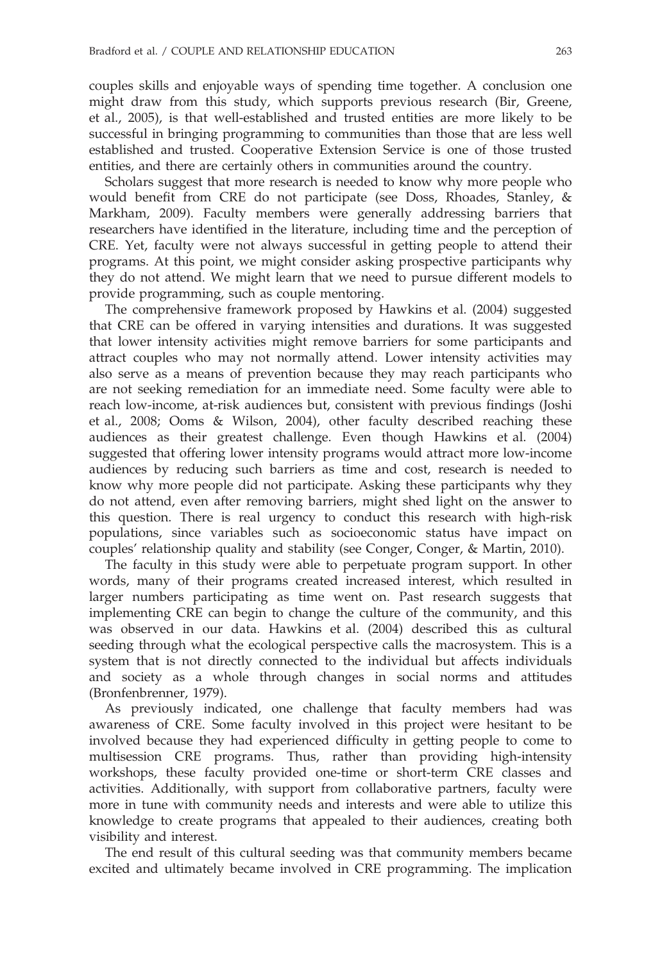couples skills and enjoyable ways of spending time together. A conclusion one might draw from this study, which supports previous research (Bir, Greene, et al., 2005), is that well-established and trusted entities are more likely to be successful in bringing programming to communities than those that are less well established and trusted. Cooperative Extension Service is one of those trusted entities, and there are certainly others in communities around the country.

Scholars suggest that more research is needed to know why more people who would benefit from CRE do not participate (see Doss, Rhoades, Stanley, & Markham, 2009). Faculty members were generally addressing barriers that researchers have identified in the literature, including time and the perception of CRE. Yet, faculty were not always successful in getting people to attend their programs. At this point, we might consider asking prospective participants why they do not attend. We might learn that we need to pursue different models to provide programming, such as couple mentoring.

The comprehensive framework proposed by Hawkins et al. (2004) suggested that CRE can be offered in varying intensities and durations. It was suggested that lower intensity activities might remove barriers for some participants and attract couples who may not normally attend. Lower intensity activities may also serve as a means of prevention because they may reach participants who are not seeking remediation for an immediate need. Some faculty were able to reach low-income, at-risk audiences but, consistent with previous findings (Joshi et al., 2008; Ooms & Wilson, 2004), other faculty described reaching these audiences as their greatest challenge. Even though Hawkins et al. (2004) suggested that offering lower intensity programs would attract more low-income audiences by reducing such barriers as time and cost, research is needed to know why more people did not participate. Asking these participants why they do not attend, even after removing barriers, might shed light on the answer to this question. There is real urgency to conduct this research with high-risk populations, since variables such as socioeconomic status have impact on couples' relationship quality and stability (see Conger, Conger, & Martin, 2010).

The faculty in this study were able to perpetuate program support. In other words, many of their programs created increased interest, which resulted in larger numbers participating as time went on. Past research suggests that implementing CRE can begin to change the culture of the community, and this was observed in our data. Hawkins et al. (2004) described this as cultural seeding through what the ecological perspective calls the macrosystem. This is a system that is not directly connected to the individual but affects individuals and society as a whole through changes in social norms and attitudes (Bronfenbrenner, 1979).

As previously indicated, one challenge that faculty members had was awareness of CRE. Some faculty involved in this project were hesitant to be involved because they had experienced difficulty in getting people to come to multisession CRE programs. Thus, rather than providing high-intensity workshops, these faculty provided one-time or short-term CRE classes and activities. Additionally, with support from collaborative partners, faculty were more in tune with community needs and interests and were able to utilize this knowledge to create programs that appealed to their audiences, creating both visibility and interest.

The end result of this cultural seeding was that community members became excited and ultimately became involved in CRE programming. The implication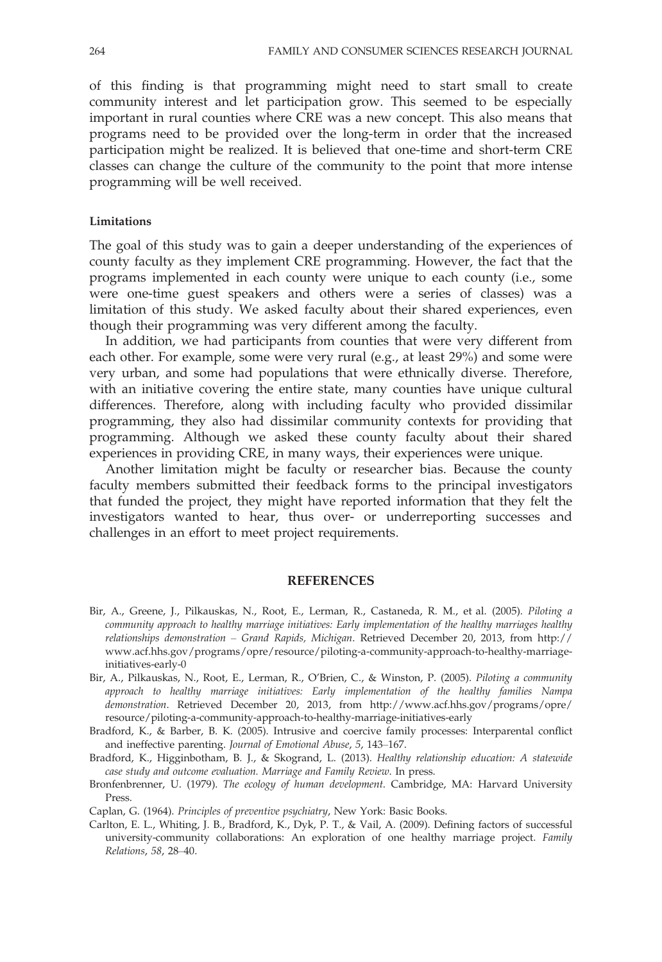of this finding is that programming might need to start small to create community interest and let participation grow. This seemed to be especially important in rural counties where CRE was a new concept. This also means that programs need to be provided over the long-term in order that the increased participation might be realized. It is believed that one-time and short-term CRE classes can change the culture of the community to the point that more intense programming will be well received.

## Limitations

The goal of this study was to gain a deeper understanding of the experiences of county faculty as they implement CRE programming. However, the fact that the programs implemented in each county were unique to each county (i.e., some were one-time guest speakers and others were a series of classes) was a limitation of this study. We asked faculty about their shared experiences, even though their programming was very different among the faculty.

In addition, we had participants from counties that were very different from each other. For example, some were very rural (e.g., at least 29%) and some were very urban, and some had populations that were ethnically diverse. Therefore, with an initiative covering the entire state, many counties have unique cultural differences. Therefore, along with including faculty who provided dissimilar programming, they also had dissimilar community contexts for providing that programming. Although we asked these county faculty about their shared experiences in providing CRE, in many ways, their experiences were unique.

Another limitation might be faculty or researcher bias. Because the county faculty members submitted their feedback forms to the principal investigators that funded the project, they might have reported information that they felt the investigators wanted to hear, thus over- or underreporting successes and challenges in an effort to meet project requirements.

## **REFERENCES**

- Bir, A., Greene, J., Pilkauskas, N., Root, E., Lerman, R., Castaneda, R. M., et al. (2005). Piloting a community approach to healthy marriage initiatives: Early implementation of the healthy marriages healthy relationships demonstration – Grand Rapids, Michigan. Retrieved December 20, 2013, from http:// www.acf.hhs.gov/programs/opre/resource/piloting-a-community-approach-to-healthy-marriageinitiatives-early-0
- Bir, A., Pilkauskas, N., Root, E., Lerman, R., O'Brien, C., & Winston, P. (2005). Piloting a community approach to healthy marriage initiatives: Early implementation of the healthy families Nampa demonstration. Retrieved December 20, 2013, from http://www.acf.hhs.gov/programs/opre/ resource/piloting-a-community-approach-to-healthy-marriage-initiatives-early
- Bradford, K., & Barber, B. K. (2005). Intrusive and coercive family processes: Interparental conflict and ineffective parenting. Journal of Emotional Abuse, 5, 143–167.
- Bradford, K., Higginbotham, B. J., & Skogrand, L. (2013). Healthy relationship education: A statewide case study and outcome evaluation. Marriage and Family Review. In press.
- Bronfenbrenner, U. (1979). The ecology of human development. Cambridge, MA: Harvard University Press.

Caplan, G. (1964). Principles of preventive psychiatry, New York: Basic Books.

Carlton, E. L., Whiting, J. B., Bradford, K., Dyk, P. T., & Vail, A. (2009). Defining factors of successful university-community collaborations: An exploration of one healthy marriage project. Family Relations, 58, 28–40.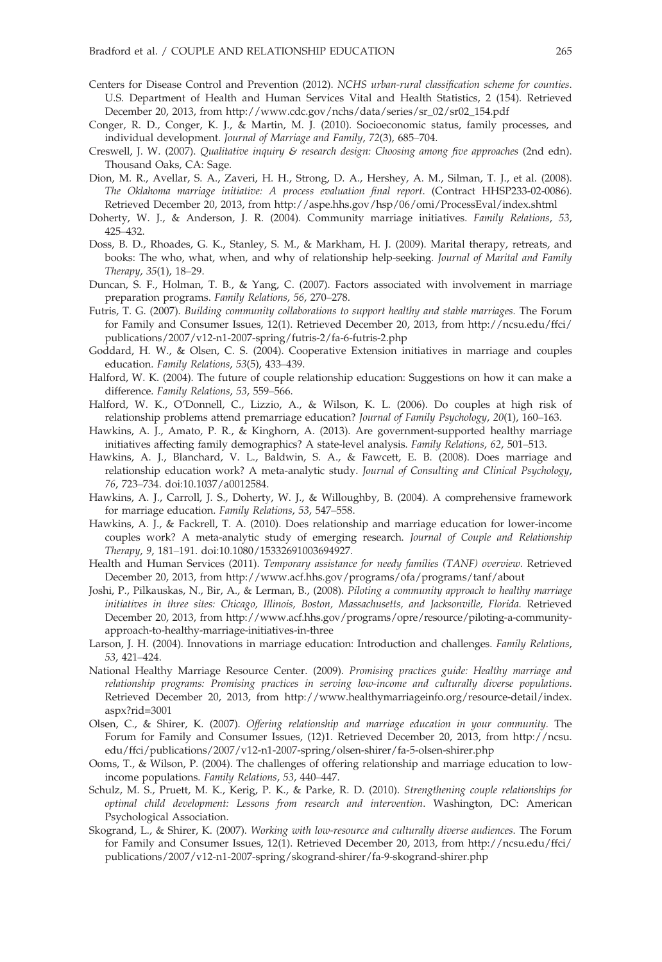- Centers for Disease Control and Prevention (2012). NCHS urban-rural classification scheme for counties. U.S. Department of Health and Human Services Vital and Health Statistics, 2 (154). Retrieved December 20, 2013, from http://www.cdc.gov/nchs/data/series/sr\_02/sr02\_154.pdf
- Conger, R. D., Conger, K. J., & Martin, M. J. (2010). Socioeconomic status, family processes, and individual development. Journal of Marriage and Family, 72(3), 685–704.
- Creswell, J. W. (2007). Qualitative inquiry & research design: Choosing among five approaches (2nd edn). Thousand Oaks, CA: Sage.
- Dion, M. R., Avellar, S. A., Zaveri, H. H., Strong, D. A., Hershey, A. M., Silman, T. J., et al. (2008). The Oklahoma marriage initiative: A process evaluation final report. (Contract HHSP233-02-0086). Retrieved December 20, 2013, from http://aspe.hhs.gov/hsp/06/omi/ProcessEval/index.shtml
- Doherty, W. J., & Anderson, J. R. (2004). Community marriage initiatives. Family Relations, 53, 425–432.
- Doss, B. D., Rhoades, G. K., Stanley, S. M., & Markham, H. J. (2009). Marital therapy, retreats, and books: The who, what, when, and why of relationship help-seeking. Journal of Marital and Family Therapy, 35(1), 18–29.
- Duncan, S. F., Holman, T. B., & Yang, C. (2007). Factors associated with involvement in marriage preparation programs. Family Relations, 56, 270–278.
- Futris, T. G. (2007). Building community collaborations to support healthy and stable marriages. The Forum for Family and Consumer Issues, 12(1). Retrieved December 20, 2013, from http://ncsu.edu/ffci/ publications/2007/v12-n1-2007-spring/futris-2/fa-6-futris-2.php
- Goddard, H. W., & Olsen, C. S. (2004). Cooperative Extension initiatives in marriage and couples education. Family Relations, 53(5), 433–439.
- Halford, W. K. (2004). The future of couple relationship education: Suggestions on how it can make a difference. Family Relations, 53, 559–566.
- Halford, W. K., O'Donnell, C., Lizzio, A., & Wilson, K. L. (2006). Do couples at high risk of relationship problems attend premarriage education? Journal of Family Psychology, 20(1), 160–163.
- Hawkins, A. J., Amato, P. R., & Kinghorn, A. (2013). Are government-supported healthy marriage initiatives affecting family demographics? A state-level analysis. Family Relations, 62, 501–513.
- Hawkins, A. J., Blanchard, V. L., Baldwin, S. A., & Fawcett, E. B. (2008). Does marriage and relationship education work? A meta-analytic study. Journal of Consulting and Clinical Psychology, 76, 723–734. doi:10.1037/a0012584.
- Hawkins, A. J., Carroll, J. S., Doherty, W. J., & Willoughby, B. (2004). A comprehensive framework for marriage education. Family Relations, 53, 547–558.
- Hawkins, A. J., & Fackrell, T. A. (2010). Does relationship and marriage education for lower-income couples work? A meta-analytic study of emerging research. Journal of Couple and Relationship Therapy, 9, 181–191. doi:10.1080/15332691003694927.
- Health and Human Services (2011). Temporary assistance for needy families (TANF) overview. Retrieved December 20, 2013, from http://www.acf.hhs.gov/programs/ofa/programs/tanf/about
- Joshi, P., Pilkauskas, N., Bir, A., & Lerman, B., (2008). Piloting a community approach to healthy marriage initiatives in three sites: Chicago, Illinois, Boston, Massachusetts, and Jacksonville, Florida. Retrieved December 20, 2013, from http://www.acf.hhs.gov/programs/opre/resource/piloting-a-communityapproach-to-healthy-marriage-initiatives-in-three
- Larson, J. H. (2004). Innovations in marriage education: Introduction and challenges. Family Relations, 53, 421–424.
- National Healthy Marriage Resource Center. (2009). Promising practices guide: Healthy marriage and relationship programs: Promising practices in serving low-income and culturally diverse populations. Retrieved December 20, 2013, from http://www.healthymarriageinfo.org/resource-detail/index. aspx?rid=3001
- Olsen, C., & Shirer, K. (2007). Offering relationship and marriage education in your community. The Forum for Family and Consumer Issues, (12)1. Retrieved December 20, 2013, from http://ncsu. edu/ffci/publications/2007/v12-n1-2007-spring/olsen-shirer/fa-5-olsen-shirer.php
- Ooms, T., & Wilson, P. (2004). The challenges of offering relationship and marriage education to lowincome populations. Family Relations, 53, 440–447.
- Schulz, M. S., Pruett, M. K., Kerig, P. K., & Parke, R. D. (2010). Strengthening couple relationships for optimal child development: Lessons from research and intervention. Washington, DC: American Psychological Association.
- Skogrand, L., & Shirer, K. (2007). Working with low-resource and culturally diverse audiences. The Forum for Family and Consumer Issues, 12(1). Retrieved December 20, 2013, from http://ncsu.edu/ffci/ publications/2007/v12-n1-2007-spring/skogrand-shirer/fa-9-skogrand-shirer.php